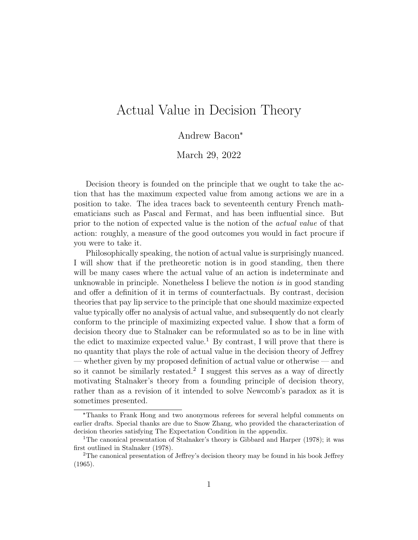# Actual Value in Decision Theory

Andrew Bacon\*

March 29, 2022

Decision theory is founded on the principle that we ought to take the action that has the maximum expected value from among actions we are in a position to take. The idea traces back to seventeenth century French mathematicians such as Pascal and Fermat, and has been influential since. But prior to the notion of expected value is the notion of the actual value of that action: roughly, a measure of the good outcomes you would in fact procure if you were to take it.

Philosophically speaking, the notion of actual value is surprisingly nuanced. I will show that if the pretheoretic notion is in good standing, then there will be many cases where the actual value of an action is indeterminate and unknowable in principle. Nonetheless I believe the notion is in good standing and offer a definition of it in terms of counterfactuals. By contrast, decision theories that pay lip service to the principle that one should maximize expected value typically offer no analysis of actual value, and subsequently do not clearly conform to the principle of maximizing expected value. I show that a form of decision theory due to Stalnaker can be reformulated so as to be in line with the edict to maximize expected value.<sup>1</sup> By contrast, I will prove that there is no quantity that plays the role of actual value in the decision theory of Jeffrey — whether given by my proposed definition of actual value or otherwise — and so it cannot be similarly restated.<sup>2</sup> I suggest this serves as a way of directly motivating Stalnaker's theory from a founding principle of decision theory, rather than as a revision of it intended to solve Newcomb's paradox as it is sometimes presented.

<sup>\*</sup>Thanks to Frank Hong and two anonymous referees for several helpful comments on earlier drafts. Special thanks are due to Snow Zhang, who provided the characterization of decision theories satisfying The Expectation Condition in the appendix.

<sup>1</sup>The canonical presentation of Stalnaker's theory is Gibbard and Harper (1978); it was first outlined in Stalnaker (1978).

<sup>2</sup>The canonical presentation of Jeffrey's decision theory may be found in his book Jeffrey (1965).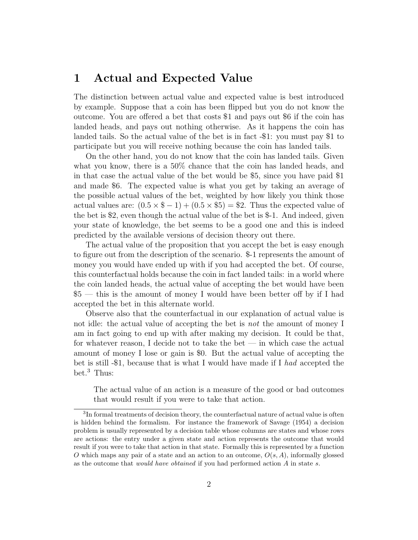#### 1 Actual and Expected Value

The distinction between actual value and expected value is best introduced by example. Suppose that a coin has been flipped but you do not know the outcome. You are offered a bet that costs \$1 and pays out \$6 if the coin has landed heads, and pays out nothing otherwise. As it happens the coin has landed tails. So the actual value of the bet is in fact -\$1: you must pay \$1 to participate but you will receive nothing because the coin has landed tails.

On the other hand, you do not know that the coin has landed tails. Given what you know, there is a 50% chance that the coin has landed heads, and in that case the actual value of the bet would be \$5, since you have paid \$1 and made \$6. The expected value is what you get by taking an average of the possible actual values of the bet, weighted by how likely you think those actual values are:  $(0.5 \times \$ - 1) + (0.5 \times \$ 5) = \$ 2$ . Thus the expected value of the bet is \$2, even though the actual value of the bet is \$-1. And indeed, given your state of knowledge, the bet seems to be a good one and this is indeed predicted by the available versions of decision theory out there.

The actual value of the proposition that you accept the bet is easy enough to figure out from the description of the scenario. \$-1 represents the amount of money you would have ended up with if you had accepted the bet. Of course, this counterfactual holds because the coin in fact landed tails: in a world where the coin landed heads, the actual value of accepting the bet would have been \$5 — this is the amount of money I would have been better off by if I had accepted the bet in this alternate world.

Observe also that the counterfactual in our explanation of actual value is not idle: the actual value of accepting the bet is not the amount of money I am in fact going to end up with after making my decision. It could be that, for whatever reason, I decide not to take the bet — in which case the actual amount of money I lose or gain is \$0. But the actual value of accepting the bet is still -\$1, because that is what I would have made if I had accepted the bet.<sup>3</sup> Thus:

The actual value of an action is a measure of the good or bad outcomes that would result if you were to take that action.

<sup>&</sup>lt;sup>3</sup>In formal treatments of decision theory, the counterfactual nature of actual value is often is hidden behind the formalism. For instance the framework of Savage (1954) a decision problem is usually represented by a decision table whose columns are states and whose rows are actions: the entry under a given state and action represents the outcome that would result if you were to take that action in that state. Formally this is represented by a function O which maps any pair of a state and an action to an outcome,  $O(s, A)$ , informally glossed as the outcome that *would have obtained* if you had performed action  $A$  in state  $s$ .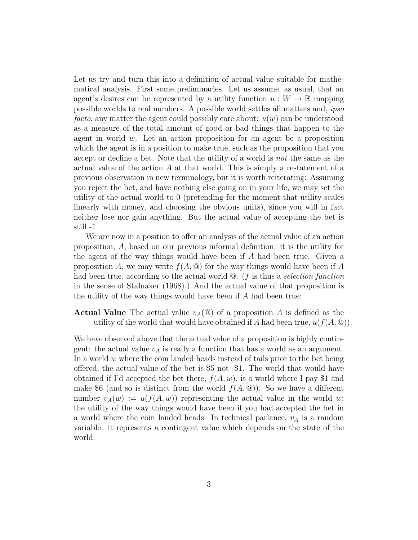Let us try and turn this into a definition of actual value suitable for mathematical analysis. First some preliminaries. Let us assume, as usual, that an agent's desires can be represented by a utility function  $u: W \to \mathbb{R}$  mapping possible worlds to real numbers. A possible world settles all matters and, ipso facto, any matter the agent could possibly care about:  $u(w)$  can be understood as a measure of the total amount of good or bad things that happen to the agent in world  $w$ . Let an action proposition for an agent be a proposition which the agent is in a position to make true, such as the proposition that you accept or decline a bet. Note that the utility of a world is not the same as the actual value of the action A at that world. This is simply a restatement of a previous observation in new terminology, but it is worth reiterating: Assuming you reject the bet, and have nothing else going on in your life, we may set the utility of the actual world to 0 (pretending for the moment that utility scales linearly with money, and choosing the obvious units), since you will in fact neither lose nor gain anything. But the actual value of accepting the bet is still -1.

We are now in a position to offer an analysis of the actual value of an action proposition, A, based on our previous informal definition: it is the utility for the agent of the way things would have been if A had been true. Given a proposition A, we may write  $f(A, \mathcal{Q})$  for the way things would have been if A had been true, according to the actual world  $\mathcal Q$ . (*f* is thus a *selection function* in the sense of Stalnaker (1968).) And the actual value of that proposition is the utility of the way things would have been if A had been true:

**Actual Value** The actual value  $v_A(\mathbf{Q})$  of a proposition A is defined as the utility of the world that would have obtained if A had been true,  $u(f(A, \mathcal{Q}))$ .

We have observed above that the actual value of a proposition is highly contingent: the actual value  $v_A$  is really a function that has a world as an argument. In a world  $w$  where the coin landed heads instead of tails prior to the bet being offered, the actual value of the bet is \$5 not -\$1. The world that would have obtained if I'd accepted the bet there,  $f(A, w)$ , is a world where I pay \$1 and make \$6 (and so is distinct from the world  $f(A, \mathcal{Q})$ ). So we have a different number  $v_A(w) := u(f(A, w))$  representing the actual value in the world w: the utility of the way things would have been if you had accepted the bet in a world where the coin landed heads. In technical parlance,  $v_A$  is a random variable: it represents a contingent value which depends on the state of the world.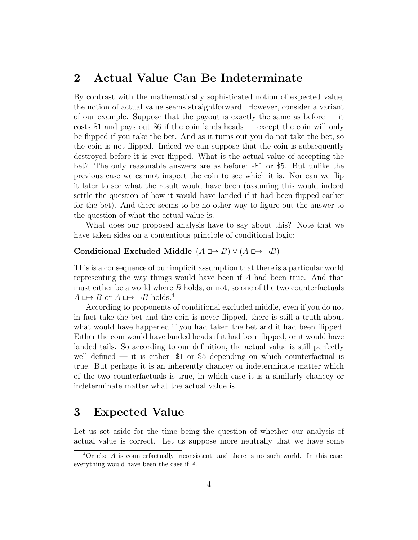#### 2 Actual Value Can Be Indeterminate

By contrast with the mathematically sophisticated notion of expected value, the notion of actual value seems straightforward. However, consider a variant of our example. Suppose that the payout is exactly the same as before — it costs \$1 and pays out \$6 if the coin lands heads — except the coin will only be flipped if you take the bet. And as it turns out you do not take the bet, so the coin is not flipped. Indeed we can suppose that the coin is subsequently destroyed before it is ever flipped. What is the actual value of accepting the bet? The only reasonable answers are as before: -\$1 or \$5. But unlike the previous case we cannot inspect the coin to see which it is. Nor can we flip it later to see what the result would have been (assuming this would indeed settle the question of how it would have landed if it had been flipped earlier for the bet). And there seems to be no other way to figure out the answer to the question of what the actual value is.

What does our proposed analysis have to say about this? Note that we have taken sides on a contentious principle of conditional logic:

#### Conditional Excluded Middle  $(A \rightharpoonup B) \vee (A \rightharpoonup \neg B)$

This is a consequence of our implicit assumption that there is a particular world representing the way things would have been if A had been true. And that must either be a world where  $B$  holds, or not, so one of the two counterfactuals  $A \mapsto B$  or  $A \mapsto \neg B$  holds.<sup>4</sup>

According to proponents of conditional excluded middle, even if you do not in fact take the bet and the coin is never flipped, there is still a truth about what would have happened if you had taken the bet and it had been flipped. Either the coin would have landed heads if it had been flipped, or it would have landed tails. So according to our definition, the actual value is still perfectly well defined — it is either  $-$ \$1 or \$5 depending on which counterfactual is true. But perhaps it is an inherently chancey or indeterminate matter which of the two counterfactuals is true, in which case it is a similarly chancey or indeterminate matter what the actual value is.

#### 3 Expected Value

Let us set aside for the time being the question of whether our analysis of actual value is correct. Let us suppose more neutrally that we have some

 ${}^{4}$ Or else A is counterfactually inconsistent, and there is no such world. In this case, everything would have been the case if A.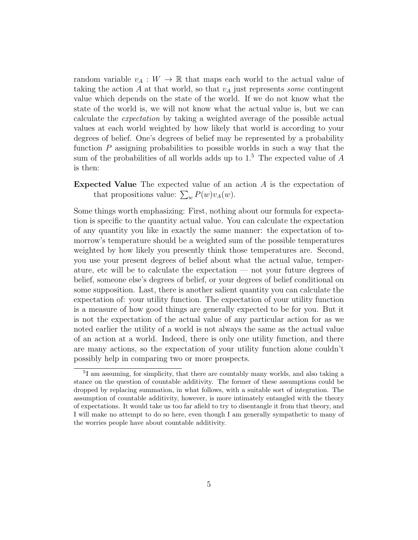random variable  $v_A : W \to \mathbb{R}$  that maps each world to the actual value of taking the action A at that world, so that  $v_A$  just represents some contingent value which depends on the state of the world. If we do not know what the state of the world is, we will not know what the actual value is, but we can calculate the expectation by taking a weighted average of the possible actual values at each world weighted by how likely that world is according to your degrees of belief. One's degrees of belief may be represented by a probability function  $P$  assigning probabilities to possible worlds in such a way that the sum of the probabilities of all worlds adds up to  $1<sup>5</sup>$ . The expected value of A is then:

Expected Value The expected value of an action A is the expectation of that propositions value:  $\sum_{w} P(w) v_A(w)$ .

Some things worth emphasizing: First, nothing about our formula for expectation is specific to the quantity actual value. You can calculate the expectation of any quantity you like in exactly the same manner: the expectation of tomorrow's temperature should be a weighted sum of the possible temperatures weighted by how likely you presently think those temperatures are. Second, you use your present degrees of belief about what the actual value, temperature, etc will be to calculate the expectation — not your future degrees of belief, someone else's degrees of belief, or your degrees of belief conditional on some supposition. Last, there is another salient quantity you can calculate the expectation of: your utility function. The expectation of your utility function is a measure of how good things are generally expected to be for you. But it is not the expectation of the actual value of any particular action for as we noted earlier the utility of a world is not always the same as the actual value of an action at a world. Indeed, there is only one utility function, and there are many actions, so the expectation of your utility function alone couldn't possibly help in comparing two or more prospects.

<sup>5</sup> I am assuming, for simplicity, that there are countably many worlds, and also taking a stance on the question of countable additivity. The former of these assumptions could be dropped by replacing summation, in what follows, with a suitable sort of integration. The assumption of countable additivity, however, is more intimately entangled with the theory of expectations. It would take us too far afield to try to disentangle it from that theory, and I will make no attempt to do so here, even though I am generally sympathetic to many of the worries people have about countable additivity.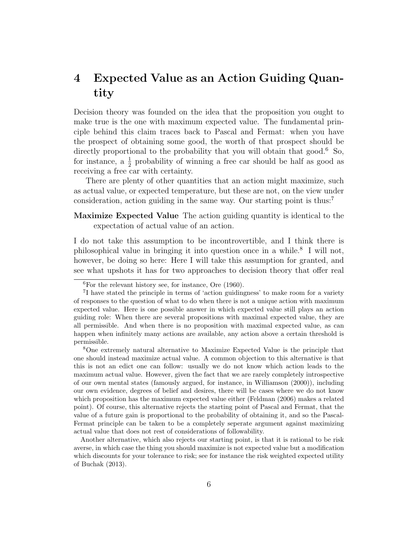## 4 Expected Value as an Action Guiding Quantity

Decision theory was founded on the idea that the proposition you ought to make true is the one with maximum expected value. The fundamental principle behind this claim traces back to Pascal and Fermat: when you have the prospect of obtaining some good, the worth of that prospect should be directly proportional to the probability that you will obtain that good.<sup>6</sup> So, for instance, a  $\frac{1}{2}$  probability of winning a free car should be half as good as receiving a free car with certainty.

There are plenty of other quantities that an action might maximize, such as actual value, or expected temperature, but these are not, on the view under consideration, action guiding in the same way. Our starting point is thus:<sup>7</sup>

Maximize Expected Value The action guiding quantity is identical to the expectation of actual value of an action.

I do not take this assumption to be incontrovertible, and I think there is philosophical value in bringing it into question once in a while.<sup>8</sup> I will not, however, be doing so here: Here I will take this assumption for granted, and see what upshots it has for two approaches to decision theory that offer real

 ${}^{6}$ For the relevant history see, for instance, Ore (1960).

<sup>7</sup> I have stated the principle in terms of 'action guidingness' to make room for a variety of responses to the question of what to do when there is not a unique action with maximum expected value. Here is one possible answer in which expected value still plays an action guiding role: When there are several propositions with maximal expected value, they are all permissible. And when there is no proposition with maximal expected value, as can happen when infinitely many actions are available, any action above a certain threshold is permissible.

<sup>8</sup>One extremely natural alternative to Maximize Expected Value is the principle that one should instead maximize actual value. A common objection to this alternative is that this is not an edict one can follow: usually we do not know which action leads to the maximum actual value. However, given the fact that we are rarely completely introspective of our own mental states (famously argued, for instance, in Williamson (2000)), including our own evidence, degrees of belief and desires, there will be cases where we do not know which proposition has the maximum expected value either (Feldman (2006) makes a related point). Of course, this alternative rejects the starting point of Pascal and Fermat, that the value of a future gain is proportional to the probability of obtaining it, and so the Pascal-Fermat principle can be taken to be a completely seperate argument against maximizing actual value that does not rest of considerations of followability.

Another alternative, which also rejects our starting point, is that it is rational to be risk averse, in which case the thing you should maximize is not expected value but a modification which discounts for your tolerance to risk; see for instance the risk weighted expected utility of Buchak (2013).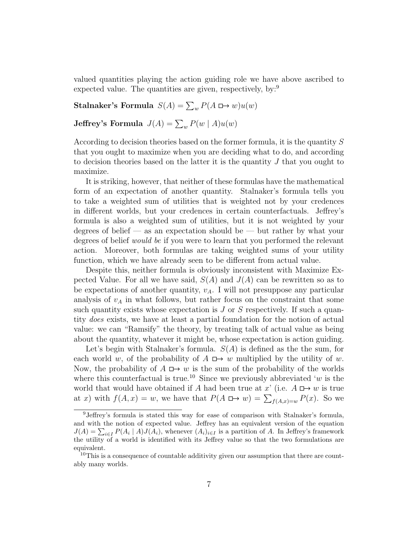valued quantities playing the action guiding role we have above ascribed to expected value. The quantities are given, respectively, by:<sup>9</sup>

Stalnaker's Formula  $S(A) = \sum_{w} P(A \square \rightarrow w)u(w)$ 

**Jeffrey's Formula**  $J(A) = \sum_{w} P(w | A)u(w)$ 

According to decision theories based on the former formula, it is the quantity S that you ought to maximize when you are deciding what to do, and according to decision theories based on the latter it is the quantity  $J$  that you ought to maximize.

It is striking, however, that neither of these formulas have the mathematical form of an expectation of another quantity. Stalnaker's formula tells you to take a weighted sum of utilities that is weighted not by your credences in different worlds, but your credences in certain counterfactuals. Jeffrey's formula is also a weighted sum of utilities, but it is not weighted by your degrees of belief — as an expectation should be — but rather by what your degrees of belief would be if you were to learn that you performed the relevant action. Moreover, both formulas are taking weighted sums of your utility function, which we have already seen to be different from actual value.

Despite this, neither formula is obviously inconsistent with Maximize Expected Value. For all we have said,  $S(A)$  and  $J(A)$  can be rewritten so as to be expectations of another quantity,  $v_A$ . I will not presuppose any particular analysis of  $v_A$  in what follows, but rather focus on the constraint that some such quantity exists whose expectation is  $J$  or  $S$  respectively. If such a quantity does exists, we have at least a partial foundation for the notion of actual value: we can "Ramsify" the theory, by treating talk of actual value as being about the quantity, whatever it might be, whose expectation is action guiding.

Let's begin with Stalnaker's formula.  $S(A)$  is defined as the the sum, for each world w, of the probability of  $A \mapsto w$  multiplied by the utility of w. Now, the probability of  $A \mapsto w$  is the sum of the probability of the worlds where this counterfactual is true.<sup>10</sup> Since we previously abbreviated 'w is the world that would have obtained if A had been true at x' (i.e.  $A \Box \rightarrow w$  is true at x) with  $f(A, x) = w$ , we have that  $P(A \rightharpoonup w) = \sum_{f(A, x) = w} P(x)$ . So we

<sup>9</sup>Jeffrey's formula is stated this way for ease of comparison with Stalnaker's formula, and with the notion of expected value. Jeffrey has an equivalent version of the equation  $J(A) = \sum_{i \in I} P(A_i \mid A) J(A_i)$ , whenever  $(A_i)_{i \in I}$  is a partition of A. In Jeffrey's framework the utility of a world is identified with its Jeffrey value so that the two formulations are equivalent.

<sup>&</sup>lt;sup>10</sup>This is a consequence of countable additivity given our assumption that there are countably many worlds.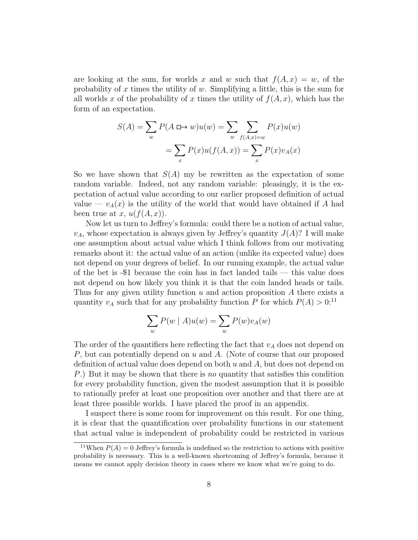are looking at the sum, for worlds x and w such that  $f(A, x) = w$ , of the probability of x times the utility of  $w$ . Simplifying a little, this is the sum for all worlds x of the probability of x times the utility of  $f(A, x)$ , which has the form of an expectation.

$$
S(A) = \sum_{w} P(A \square \rightarrow w)u(w) = \sum_{w} \sum_{f(A,x)=w} P(x)u(w)
$$

$$
= \sum_{x} P(x)u(f(A,x)) = \sum_{x} P(x)v_A(x)
$$

So we have shown that  $S(A)$  my be rewritten as the expectation of some random variable. Indeed, not any random variable: pleasingly, it is the expectation of actual value according to our earlier proposed definition of actual value —  $v_A(x)$  is the utility of the world that would have obtained if A had been true at x,  $u(f(A, x))$ .

Now let us turn to Jeffrey's formula: could there be a notion of actual value,  $v_A$ , whose expectation is always given by Jeffrey's quantity  $J(A)$ ? I will make one assumption about actual value which I think follows from our motivating remarks about it: the actual value of an action (unlike its expected value) does not depend on your degrees of belief. In our running example, the actual value of the bet is -\$1 because the coin has in fact landed tails — this value does not depend on how likely you think it is that the coin landed heads or tails. Thus for any given utility function  $u$  and action proposition  $A$  there exists a quantity  $v_A$  such that for any probability function P for which  $P(A) > 0$ <sup>11</sup>

$$
\sum_{w} P(w | A)u(w) = \sum_{w} P(w)v_A(w)
$$

The order of the quantifiers here reflecting the fact that  $v_A$  does not depend on P, but can potentially depend on u and A. (Note of course that our proposed definition of actual value does depend on both  $u$  and  $A$ , but does not depend on P.) But it may be shown that there is no quantity that satisfies this condition for every probability function, given the modest assumption that it is possible to rationally prefer at least one proposition over another and that there are at least three possible worlds. I have placed the proof in an appendix.

I suspect there is some room for improvement on this result. For one thing, it is clear that the quantification over probability functions in our statement that actual value is independent of probability could be restricted in various

<sup>&</sup>lt;sup>11</sup>When  $P(A) = 0$  Jeffrey's formula is undefined so the restriction to actions with positive probability is necessary. This is a well-known shortcoming of Jeffrey's formula, because it means we cannot apply decision theory in cases where we know what we're going to do.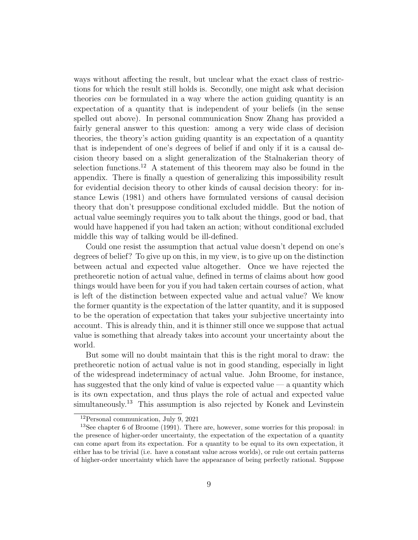ways without affecting the result, but unclear what the exact class of restrictions for which the result still holds is. Secondly, one might ask what decision theories can be formulated in a way where the action guiding quantity is an expectation of a quantity that is independent of your beliefs (in the sense spelled out above). In personal communication Snow Zhang has provided a fairly general answer to this question: among a very wide class of decision theories, the theory's action guiding quantity is an expectation of a quantity that is independent of one's degrees of belief if and only if it is a causal decision theory based on a slight generalization of the Stalnakerian theory of selection functions.<sup>12</sup> A statement of this theorem may also be found in the appendix. There is finally a question of generalizing this impossibility result for evidential decision theory to other kinds of causal decision theory: for instance Lewis (1981) and others have formulated versions of causal decision theory that don't presuppose conditional excluded middle. But the notion of actual value seemingly requires you to talk about the things, good or bad, that would have happened if you had taken an action; without conditional excluded middle this way of talking would be ill-defined.

Could one resist the assumption that actual value doesn't depend on one's degrees of belief? To give up on this, in my view, is to give up on the distinction between actual and expected value altogether. Once we have rejected the pretheoretic notion of actual value, defined in terms of claims about how good things would have been for you if you had taken certain courses of action, what is left of the distinction between expected value and actual value? We know the former quantity is the expectation of the latter quantity, and it is supposed to be the operation of expectation that takes your subjective uncertainty into account. This is already thin, and it is thinner still once we suppose that actual value is something that already takes into account your uncertainty about the world.

But some will no doubt maintain that this is the right moral to draw: the pretheoretic notion of actual value is not in good standing, especially in light of the widespread indeterminacy of actual value. John Broome, for instance, has suggested that the only kind of value is expected value  $-$  a quantity which is its own expectation, and thus plays the role of actual and expected value simultaneously.<sup>13</sup> This assumption is also rejected by Konek and Levinstein

<sup>12</sup>Personal communication, July 9, 2021

<sup>13</sup>See chapter 6 of Broome (1991). There are, however, some worries for this proposal: in the presence of higher-order uncertainty, the expectation of the expectation of a quantity can come apart from its expectation. For a quantity to be equal to its own expectation, it either has to be trivial (i.e. have a constant value across worlds), or rule out certain patterns of higher-order uncertainty which have the appearance of being perfectly rational. Suppose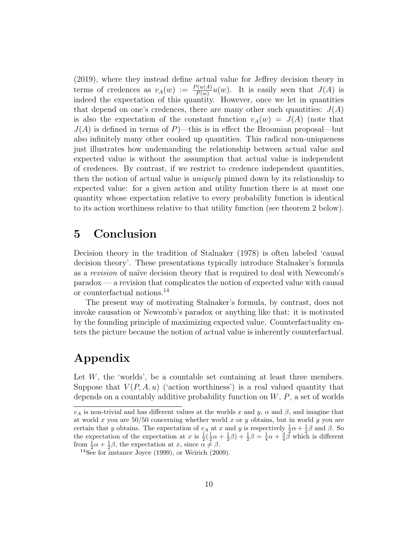(2019), where they instead define actual value for Jeffrey decision theory in terms of credences as  $v_A(w) := \frac{P(w|A)}{P(w)}u(w)$ . It is easily seen that  $J(A)$  is indeed the expectation of this quantity. However, once we let in quantities that depend on one's credences, there are many other such quantities:  $J(A)$ is also the expectation of the constant function  $v_A(w) = J(A)$  (note that  $J(A)$  is defined in terms of P)—this is in effect the Broomian proposal—but also infinitely many other cooked up quantities. This radical non-uniqueness just illustrates how undemanding the relationship between actual value and expected value is without the assumption that actual value is independent of credences. By contrast, if we restrict to credence independent quantities, then the notion of actual value is *uniquely* pinned down by its relationship to expected value: for a given action and utility function there is at most one quantity whose expectation relative to every probability function is identical to its action worthiness relative to that utility function (see theorem 2 below).

#### 5 Conclusion

Decision theory in the tradition of Stalnaker (1978) is often labeled 'causal decision theory'. These presentations typically introduce Stalnaker's formula as a revision of naïve decision theory that is required to deal with Newcomb's paradox — a revision that complicates the notion of expected value with causal or counterfactual notions.<sup>14</sup>

The present way of motivating Stalnaker's formula, by contrast, does not invoke causation or Newcomb's paradox or anything like that: it is motivated by the founding principle of maximizing expected value. Counterfactuality enters the picture because the notion of actual value is inherently counterfactual.

## Appendix

Let W, the 'worlds', be a countable set containing at least three members. Suppose that  $V(P, A, u)$  ('action worthiness') is a real valued quantity that depends on a countably additive probability function on  $W, P$ , a set of worlds

 $v_A$  is non-trivial and has different values at the worlds x and y,  $\alpha$  and  $\beta$ , and imagine that at world x you are  $50/50$  concerning whether world x or y obtains, but in world y you are certain that y obtains. The expectation of  $v_A$  at x and y is respectively  $\frac{1}{2}\alpha + \frac{1}{2}\beta$  and  $\beta$ . So the expectation of the expectation at x is  $\frac{1}{2}(\frac{1}{2}\alpha+\frac{1}{2}\beta)+\frac{1}{2}\beta=\frac{1}{4}\alpha+\frac{3}{4}\beta$  which is different from  $\frac{1}{2}\alpha + \frac{1}{2}\beta$ , the expectation at x, since  $\alpha \neq \beta$ .

 $14$ See for instance Joyce (1999), or Weirich (2009).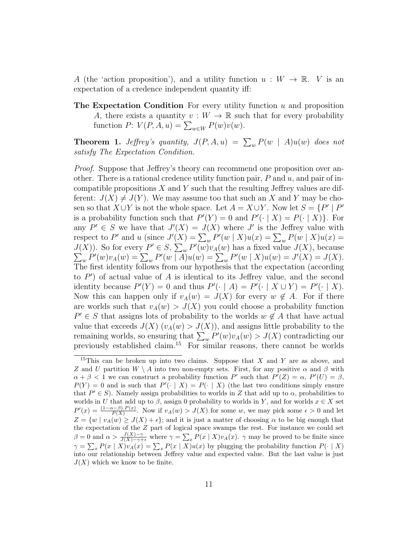A (the 'action proposition'), and a utility function  $u: W \to \mathbb{R}$ . V is an expectation of a credence independent quantity iff:

**The Expectation Condition** For every utility function  $u$  and proposition A, there exists a quantity  $v: W \to \mathbb{R}$  such that for every probability function  $P: V(P, A, u) = \sum_{w \in W} P(w)v(w)$ .

**Theorem 1.** Jeffrey's quantity,  $J(P, A, u) = \sum_{w} P(w | A)u(w)$  does not satisfy The Expectation Condition.

*Proof.* Suppose that Jeffrey's theory can recommend one proposition over another. There is a rational credence utility function pair,  $P$  and  $u$ , and pair of incompatible propositions  $X$  and  $Y$  such that the resulting Jeffrey values are different:  $J(X) \neq J(Y)$ . We may assume too that such an X and Y may be chosen so that  $X \cup Y$  is not the whole space. Let  $A = X \cup Y$ . Now let  $S = \{P' \mid P' \}$ is a probability function such that  $P'(Y) = 0$  and  $P'(\cdot | X) = P(\cdot | X)$ . For any  $P' \in S$  we have that  $J'(X) = J(X)$  where J' is the Jeffrey value with respect to P' and u (since  $J'(X) = \sum_{w} P'(w | X)u(x) = \sum_{w} P(w | X)u(x) =$  $J(X)$ ). So for every  $P' \in S$ ,  $\sum_{w} P'$  $\sum$  $(w)v_A(w)$  has a fixed value  $J(X)$ , because  $_{w}P'(w)v_{A}(w) = \sum_{w} P'(w | A)u(w) = \sum_{w} P'(w | X)u(w) = J'(X) = J(X).$ The first identity follows from our hypothesis that the expectation (according to  $P'$ ) of actual value of A is identical to its Jeffrey value, and the second identity because  $P'(Y) = 0$  and thus  $P'(\cdot | A) = P'(\cdot | X \cup Y) = P'(\cdot | X)$ . Now this can happen only if  $v_A(w) = J(X)$  for every  $w \notin A$ . For if there are worlds such that  $v_A(w) > J(X)$  you could choose a probability function  $P' \in S$  that assigns lots of probability to the worlds  $w \notin A$  that have actual value that exceeds  $J(X)$   $(v<sub>A</sub>(w) > J(X))$ , and assigns little probability to the remaining worlds, so ensuring that  $\sum_{w} P'(w) v_A(w) > J(X)$  contradicting our previously established claim.<sup>15</sup> For similar reasons, there cannot be worlds

<sup>&</sup>lt;sup>15</sup>This can be broken up into two claims. Suppose that X and Y are as above, and Z and U partition  $W \setminus A$  into two non-empty sets. First, for any positive  $\alpha$  and  $\beta$  with  $\alpha + \beta < 1$  we can construct a probability function P' such that  $P'(Z) = \alpha$ ,  $P'(U) = \beta$ ,  $P(Y) = 0$  and is such that  $P'(\cdot | X) = P(\cdot | X)$  (the last two conditions simply ensure that  $P' \in S$ ). Namely assign probabilities to worlds in Z that add up to  $\alpha$ , probabilities to worlds in U that add up to  $\beta$ , assign 0 probability to worlds in Y, and for worlds  $x \in X$  set  $P'(x) = \frac{(1-\alpha-\beta).P(x)}{P(X)}$ . Now if  $v_A(w) > J(X)$  for some w, we may pick some  $\epsilon > 0$  and let  $Z = \{w \mid v_A(w) \geq J(X) + \epsilon\};$  and it is just a matter of choosing  $\alpha$  to be big enough that the expectation of the Z part of logical space swamps the rest. For instance we could set  $\beta = 0$  and  $\alpha > \frac{J(X) - \gamma}{J(X) - \gamma + \epsilon}$  where  $\gamma = \sum_x P(x | X) v_A(x)$ .  $\gamma$  may be proved to be finite since  $\gamma = \sum_x P(x | X) v_A(x) = \sum_x P(x | X) u(x)$  by plugging the probability function  $P(\cdot | X)$ into our relationship between Jeffrey value and expected value. But the last value is just  $J(X)$  which we know to be finite.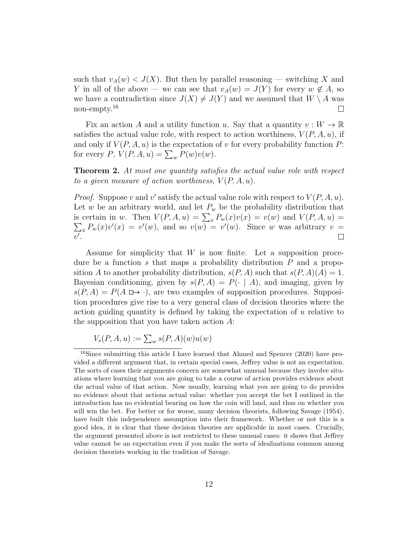such that  $v_A(w) < J(X)$ . But then by parallel reasoning — switching X and Y in all of the above — we can see that  $v_A(w) = J(Y)$  for every  $w \notin A$ , so we have a contradiction since  $J(X) \neq J(Y)$  and we assumed that  $W \setminus A$  was non-empty.<sup>16</sup>  $\perp$ 

Fix an action A and a utility function u. Say that a quantity  $v: W \to \mathbb{R}$ satisfies the actual value role, with respect to action worthiness,  $V(P, A, u)$ , if and only if  $V(P, A, u)$  is the expectation of v for every probability function P: for every  $P, V(P, A, u) = \sum_{w} P(w) v(w)$ .

Theorem 2. At most one quantity satisfies the actual value role with respect to a given measure of action worthiness,  $V(P, A, u)$ .

*Proof.* Suppose v and v' satisfy the actual value role with respect to  $V(P, A, u)$ . Let w be an arbitrary world, and let  $P_w$  be the probability distribution that is certain in w. Then  $V(P, A, u) = \sum_x P_w(x)v(x) = v(w)$  and  $V(P, A, u) = \sum_x P_w(x)v'(x) = v'(w)$ , and so  $v(w) = v'(w)$ . Since w was arbitrary  $v =$  $v'.$  $\Box$ 

Assume for simplicity that W is now finite. Let a supposition procedure be a function s that maps a probability distribution  $P$  and a proposition A to another probability distribution,  $s(P, A)$  such that  $s(P, A)(A) = 1$ . Bayesian conditioning, given by  $s(P, A) = P(\cdot | A)$ , and imaging, given by  $s(P, A) = P(A \square \rightarrow \cdot)$ , are two examples of supposition procedures. Supposition procedures give rise to a very general class of decision theories where the action guiding quantity is defined by taking the expectation of u relative to the supposition that you have taken action A:

$$
V_s(P, A, u) := \sum_{w} s(P, A)(w)u(w)
$$

<sup>&</sup>lt;sup>16</sup>Since submitting this article I have learned that Ahmed and Spencer (2020) have provided a different argument that, in certain special cases, Jeffrey value is not an expectation. The sorts of cases their arguments concern are somewhat unusual because they involve situations where learning that you are going to take a course of action provides evidence about the actual value of that action. Now usually, learning what you are going to do provides no evidence about that actions actual value: whether you accept the bet I outlined in the introduction has no evidential bearing on how the coin will land, and thus on whether you will win the bet. For better or for worse, many decision theorists, following Savage (1954), have built this independence assumption into their framework. Whether or not this is a good idea, it is clear that these decision theories are applicable in most cases. Crucially, the argument presented above is not restricted to these unusual cases: it shows that Jeffrey value cannot be an expectation even if you make the sorts of idealizations common among decision theorists working in the tradition of Savage.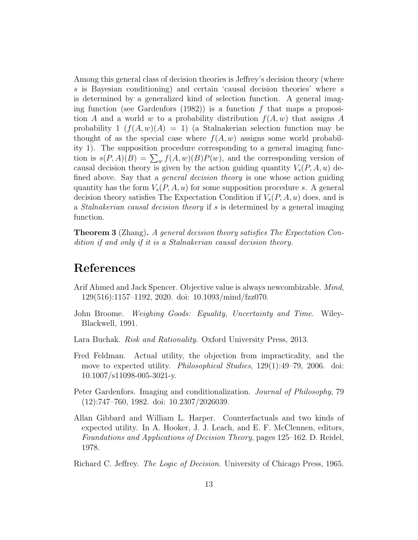Among this general class of decision theories is Jeffrey's decision theory (where s is Bayesian conditioning) and certain 'causal decision theories' where s is determined by a generalized kind of selection function. A general imaging function (see Gardenfors  $(1982)$ ) is a function f that maps a proposition A and a world w to a probability distribution  $f(A, w)$  that assigns A probability  $1 \left( f(A, w)(A) = 1 \right)$  (a Stalnakerian selection function may be thought of as the special case where  $f(A, w)$  assigns some world probability 1). The supposition procedure corresponding to a general imaging function is  $s(P, A)(B) = \sum_{w} f(A, w)(B)P(w)$ , and the corresponding version of causal decision theory is given by the action guiding quantity  $V_s(P, A, u)$  defined above. Say that a *general decision theory* is one whose action guiding quantity has the form  $V_s(P, A, u)$  for some supposition procedure s. A general decision theory satisfies The Expectation Condition if  $V_s(P, A, u)$  does, and is a *Stalnakerian causal decision theory* if s is determined by a general imaging function.

Theorem 3 (Zhang). A general decision theory satisfies The Expectation Condition if and only if it is a Stalnakerian causal decision theory.

### References

- Arif Ahmed and Jack Spencer. Objective value is always newcombizable. Mind, 129(516):1157–1192, 2020. doi: 10.1093/mind/fzz070.
- John Broome. Weighing Goods: Equality, Uncertainty and Time. Wiley-Blackwell, 1991.
- Lara Buchak. *Risk and Rationality*. Oxford University Press, 2013.
- Fred Feldman. Actual utility, the objection from impracticality, and the move to expected utility. Philosophical Studies, 129(1):49–79, 2006. doi: 10.1007/s11098-005-3021-y.
- Peter Gardenfors. Imaging and conditionalization. Journal of Philosophy, 79 (12):747–760, 1982. doi: 10.2307/2026039.
- Allan Gibbard and William L. Harper. Counterfactuals and two kinds of expected utility. In A. Hooker, J. J. Leach, and E. F. McClennen, editors, Foundations and Applications of Decision Theory, pages 125–162. D. Reidel, 1978.

Richard C. Jeffrey. *The Logic of Decision*. University of Chicago Press, 1965.